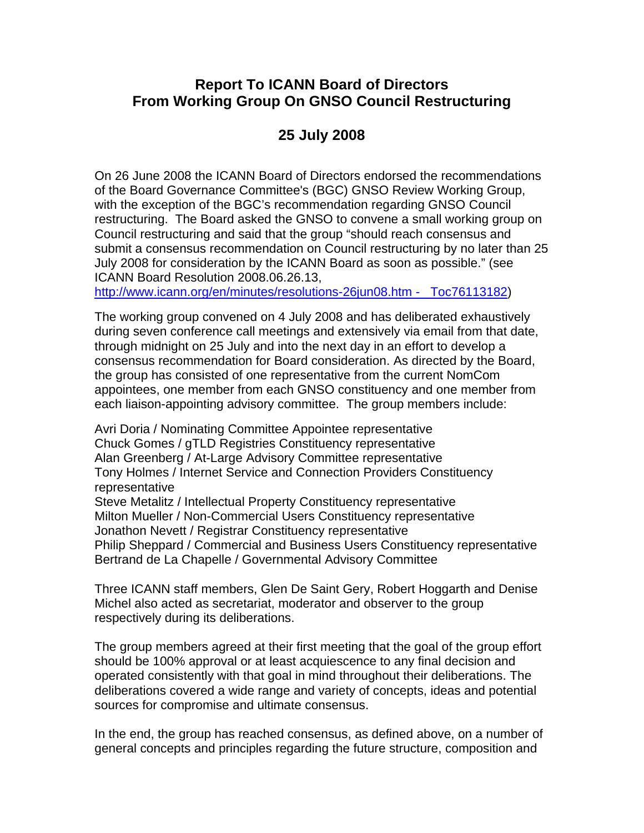## **Report To ICANN Board of Directors From Working Group On GNSO Council Restructuring**

# **25 July 2008**

On 26 June 2008 the ICANN Board of Directors endorsed the recommendations of the Board Governance Committee's (BGC) GNSO Review Working Group, with the exception of the BGC's recommendation regarding GNSO Council restructuring. The Board asked the GNSO to convene a small working group on Council restructuring and said that the group "should reach consensus and submit a consensus recommendation on Council restructuring by no later than 25 July 2008 for consideration by the ICANN Board as soon as possible." (see ICANN Board Resolution 2008.06.26.13,

http://www.icann.org/en/minutes/resolutions-26jun08.htm - \_Toc76113182)

The working group convened on 4 July 2008 and has deliberated exhaustively during seven conference call meetings and extensively via email from that date, through midnight on 25 July and into the next day in an effort to develop a consensus recommendation for Board consideration. As directed by the Board, the group has consisted of one representative from the current NomCom appointees, one member from each GNSO constituency and one member from each liaison-appointing advisory committee. The group members include:

Avri Doria / Nominating Committee Appointee representative Chuck Gomes / gTLD Registries Constituency representative Alan Greenberg / At-Large Advisory Committee representative Tony Holmes / Internet Service and Connection Providers Constituency representative

Steve Metalitz / Intellectual Property Constituency representative Milton Mueller / Non-Commercial Users Constituency representative Jonathon Nevett / Registrar Constituency representative Philip Sheppard / Commercial and Business Users Constituency representative Bertrand de La Chapelle / Governmental Advisory Committee

Three ICANN staff members, Glen De Saint Gery, Robert Hoggarth and Denise Michel also acted as secretariat, moderator and observer to the group respectively during its deliberations.

The group members agreed at their first meeting that the goal of the group effort should be 100% approval or at least acquiescence to any final decision and operated consistently with that goal in mind throughout their deliberations. The deliberations covered a wide range and variety of concepts, ideas and potential sources for compromise and ultimate consensus.

In the end, the group has reached consensus, as defined above, on a number of general concepts and principles regarding the future structure, composition and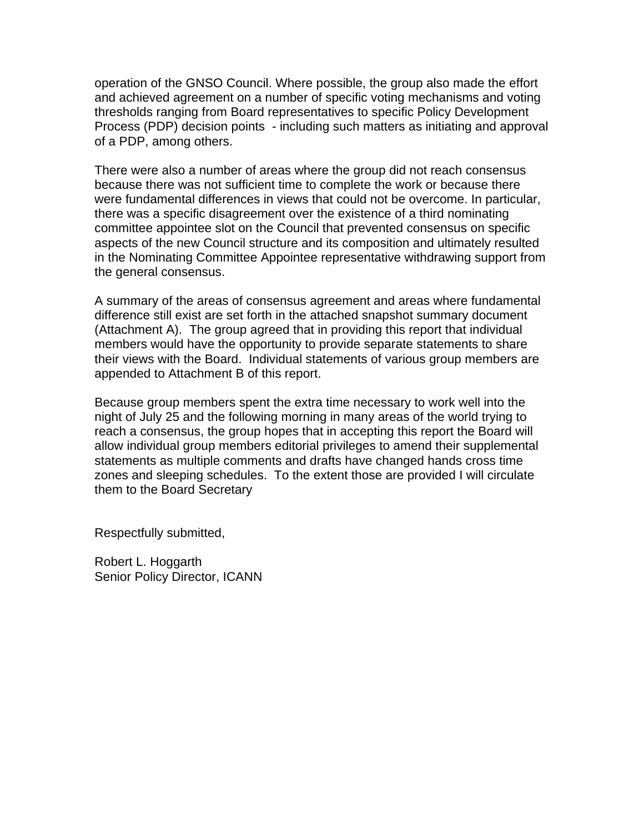operation of the GNSO Council. Where possible, the group also made the effort and achieved agreement on a number of specific voting mechanisms and voting thresholds ranging from Board representatives to specific Policy Development Process (PDP) decision points - including such matters as initiating and approval of a PDP, among others.

There were also a number of areas where the group did not reach consensus because there was not sufficient time to complete the work or because there were fundamental differences in views that could not be overcome. In particular, there was a specific disagreement over the existence of a third nominating committee appointee slot on the Council that prevented consensus on specific aspects of the new Council structure and its composition and ultimately resulted in the Nominating Committee Appointee representative withdrawing support from the general consensus.

A summary of the areas of consensus agreement and areas where fundamental difference still exist are set forth in the attached snapshot summary document (Attachment A). The group agreed that in providing this report that individual members would have the opportunity to provide separate statements to share their views with the Board. Individual statements of various group members are appended to Attachment B of this report.

Because group members spent the extra time necessary to work well into the night of July 25 and the following morning in many areas of the world trying to reach a consensus, the group hopes that in accepting this report the Board will allow individual group members editorial privileges to amend their supplemental statements as multiple comments and drafts have changed hands cross time zones and sleeping schedules. To the extent those are provided I will circulate them to the Board Secretary

Respectfully submitted,

Robert L. Hoggarth Senior Policy Director, ICANN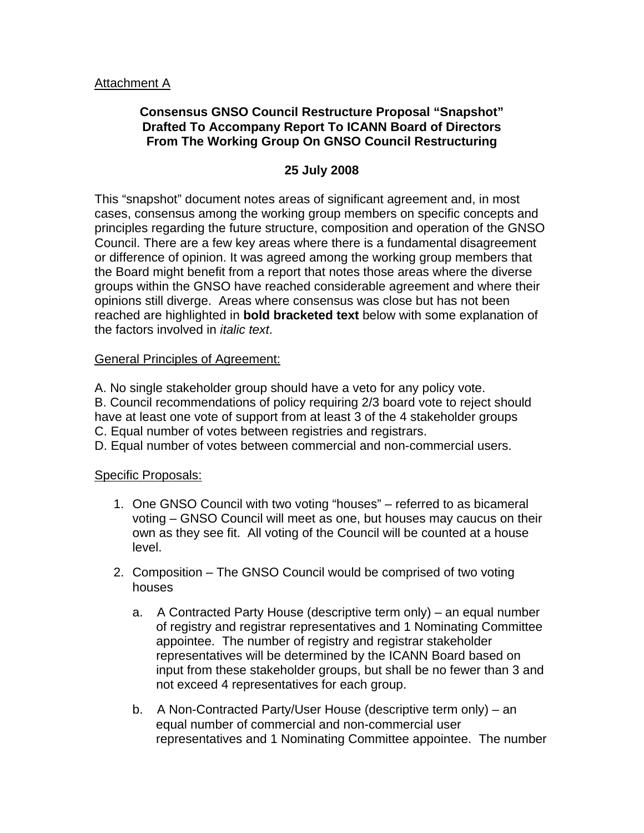#### Attachment A

### **Consensus GNSO Council Restructure Proposal "Snapshot" Drafted To Accompany Report To ICANN Board of Directors From The Working Group On GNSO Council Restructuring**

#### **25 July 2008**

This "snapshot" document notes areas of significant agreement and, in most cases, consensus among the working group members on specific concepts and principles regarding the future structure, composition and operation of the GNSO Council. There are a few key areas where there is a fundamental disagreement or difference of opinion. It was agreed among the working group members that the Board might benefit from a report that notes those areas where the diverse groups within the GNSO have reached considerable agreement and where their opinions still diverge. Areas where consensus was close but has not been reached are highlighted in **bold bracketed text** below with some explanation of the factors involved in *italic text*.

#### General Principles of Agreement:

A. No single stakeholder group should have a veto for any policy vote. B. Council recommendations of policy requiring 2/3 board vote to reject should have at least one vote of support from at least 3 of the 4 stakeholder groups C. Equal number of votes between registries and registrars.

D. Equal number of votes between commercial and non-commercial users.

#### Specific Proposals:

- 1. One GNSO Council with two voting "houses" referred to as bicameral voting – GNSO Council will meet as one, but houses may caucus on their own as they see fit. All voting of the Council will be counted at a house level.
- 2. Composition The GNSO Council would be comprised of two voting houses
	- a. A Contracted Party House (descriptive term only) an equal number of registry and registrar representatives and 1 Nominating Committee appointee. The number of registry and registrar stakeholder representatives will be determined by the ICANN Board based on input from these stakeholder groups, but shall be no fewer than 3 and not exceed 4 representatives for each group.
	- b. A Non-Contracted Party/User House (descriptive term only) an equal number of commercial and non-commercial user representatives and 1 Nominating Committee appointee. The number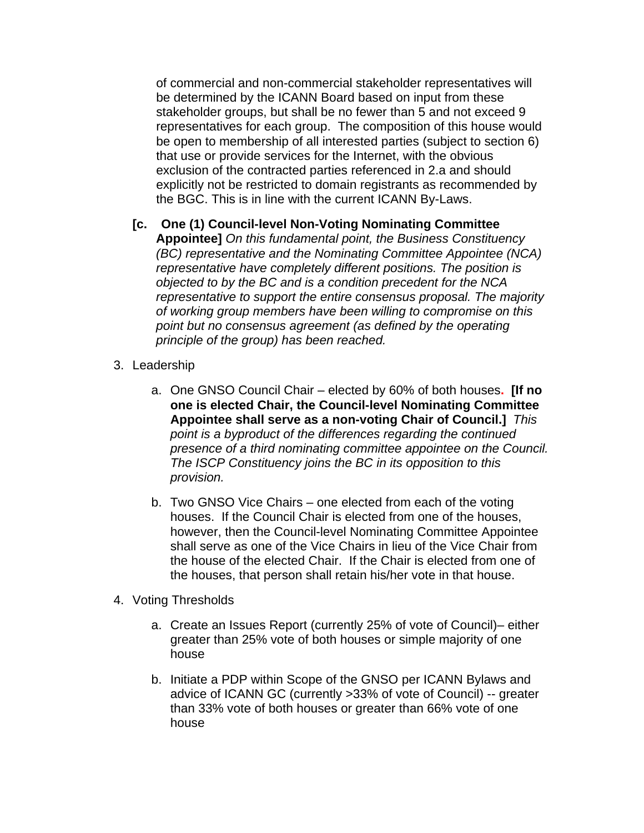of commercial and non-commercial stakeholder representatives will be determined by the ICANN Board based on input from these stakeholder groups, but shall be no fewer than 5 and not exceed 9 representatives for each group. The composition of this house would be open to membership of all interested parties (subject to section 6) that use or provide services for the Internet, with the obvious exclusion of the contracted parties referenced in 2.a and should explicitly not be restricted to domain registrants as recommended by the BGC. This is in line with the current ICANN By-Laws.

- **[c. One (1) Council-level Non-Voting Nominating Committee Appointee]** *On this fundamental point, the Business Constituency (BC) representative and the Nominating Committee Appointee (NCA) representative have completely different positions. The position is objected to by the BC and is a condition precedent for the NCA representative to support the entire consensus proposal. The majority of working group members have been willing to compromise on this point but no consensus agreement (as defined by the operating principle of the group) has been reached.*
- 3. Leadership
	- a. One GNSO Council Chair elected by 60% of both houses**. [If no one is elected Chair, the Council-level Nominating Committee Appointee shall serve as a non-voting Chair of Council.]** *This point is a byproduct of the differences regarding the continued presence of a third nominating committee appointee on the Council. The ISCP Constituency joins the BC in its opposition to this provision.*
	- b. Two GNSO Vice Chairs one elected from each of the voting houses. If the Council Chair is elected from one of the houses, however, then the Council-level Nominating Committee Appointee shall serve as one of the Vice Chairs in lieu of the Vice Chair from the house of the elected Chair. If the Chair is elected from one of the houses, that person shall retain his/her vote in that house.
- 4. Voting Thresholds
	- a. Create an Issues Report (currently 25% of vote of Council)– either greater than 25% vote of both houses or simple majority of one house
	- b. Initiate a PDP within Scope of the GNSO per ICANN Bylaws and advice of ICANN GC (currently >33% of vote of Council) -- greater than 33% vote of both houses or greater than 66% vote of one house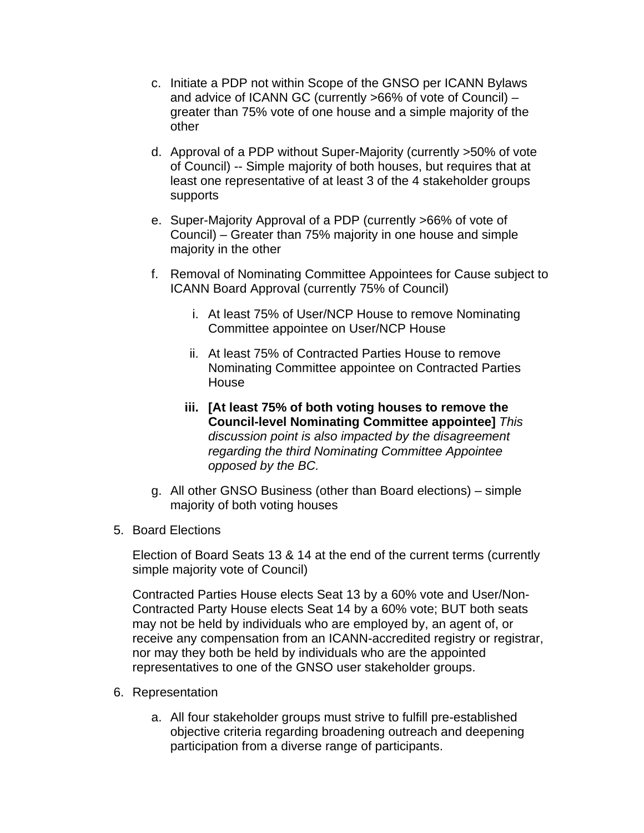- c. Initiate a PDP not within Scope of the GNSO per ICANN Bylaws and advice of ICANN GC (currently >66% of vote of Council) – greater than 75% vote of one house and a simple majority of the other
- d. Approval of a PDP without Super-Majority (currently >50% of vote of Council) -- Simple majority of both houses, but requires that at least one representative of at least 3 of the 4 stakeholder groups supports
- e. Super-Majority Approval of a PDP (currently >66% of vote of Council) – Greater than 75% majority in one house and simple majority in the other
- f. Removal of Nominating Committee Appointees for Cause subject to ICANN Board Approval (currently 75% of Council)
	- i. At least 75% of User/NCP House to remove Nominating Committee appointee on User/NCP House
	- ii. At least 75% of Contracted Parties House to remove Nominating Committee appointee on Contracted Parties House
	- **iii. [At least 75% of both voting houses to remove the Council-level Nominating Committee appointee]** *This discussion point is also impacted by the disagreement regarding the third Nominating Committee Appointee opposed by the BC.*
- g. All other GNSO Business (other than Board elections) simple majority of both voting houses
- 5. Board Elections

Election of Board Seats 13 & 14 at the end of the current terms (currently simple majority vote of Council)

Contracted Parties House elects Seat 13 by a 60% vote and User/Non-Contracted Party House elects Seat 14 by a 60% vote; BUT both seats may not be held by individuals who are employed by, an agent of, or receive any compensation from an ICANN-accredited registry or registrar, nor may they both be held by individuals who are the appointed representatives to one of the GNSO user stakeholder groups.

- 6. Representation
	- a. All four stakeholder groups must strive to fulfill pre-established objective criteria regarding broadening outreach and deepening participation from a diverse range of participants.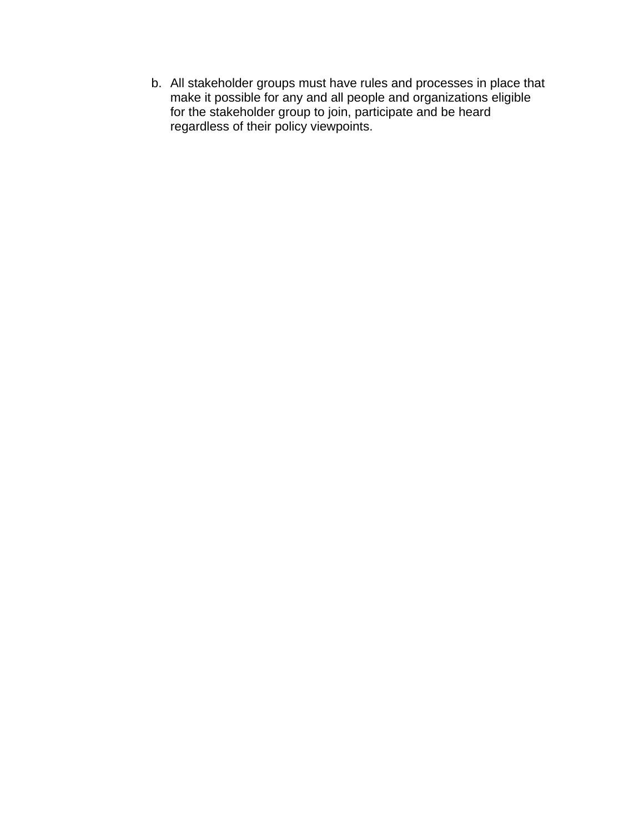b. All stakeholder groups must have rules and processes in place that make it possible for any and all people and organizations eligible for the stakeholder group to join, participate and be heard regardless of their policy viewpoints.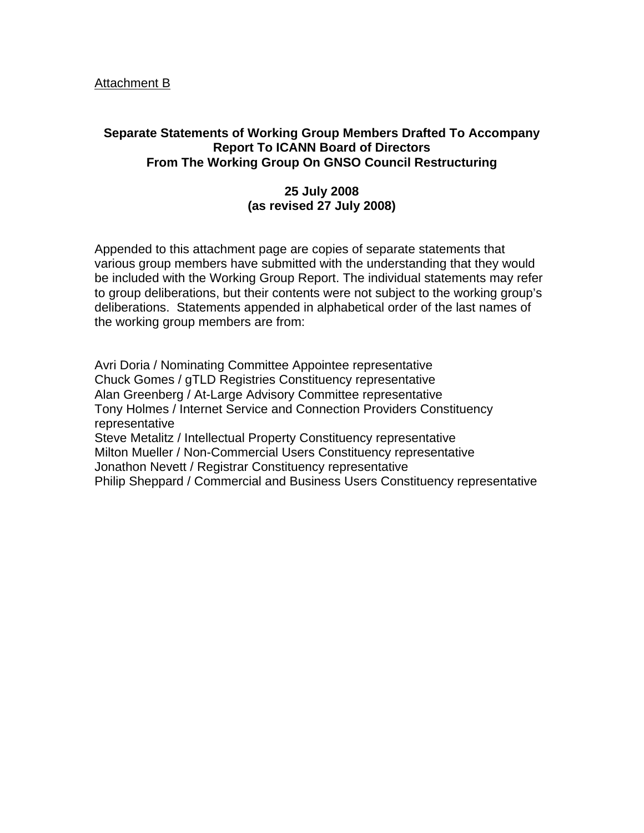#### Attachment B

### **Separate Statements of Working Group Members Drafted To Accompany Report To ICANN Board of Directors From The Working Group On GNSO Council Restructuring**

### **25 July 2008 (as revised 27 July 2008)**

Appended to this attachment page are copies of separate statements that various group members have submitted with the understanding that they would be included with the Working Group Report. The individual statements may refer to group deliberations, but their contents were not subject to the working group's deliberations. Statements appended in alphabetical order of the last names of the working group members are from:

Avri Doria / Nominating Committee Appointee representative Chuck Gomes / gTLD Registries Constituency representative Alan Greenberg / At-Large Advisory Committee representative Tony Holmes / Internet Service and Connection Providers Constituency representative Steve Metalitz / Intellectual Property Constituency representative Milton Mueller / Non-Commercial Users Constituency representative Jonathon Nevett / Registrar Constituency representative Philip Sheppard / Commercial and Business Users Constituency representative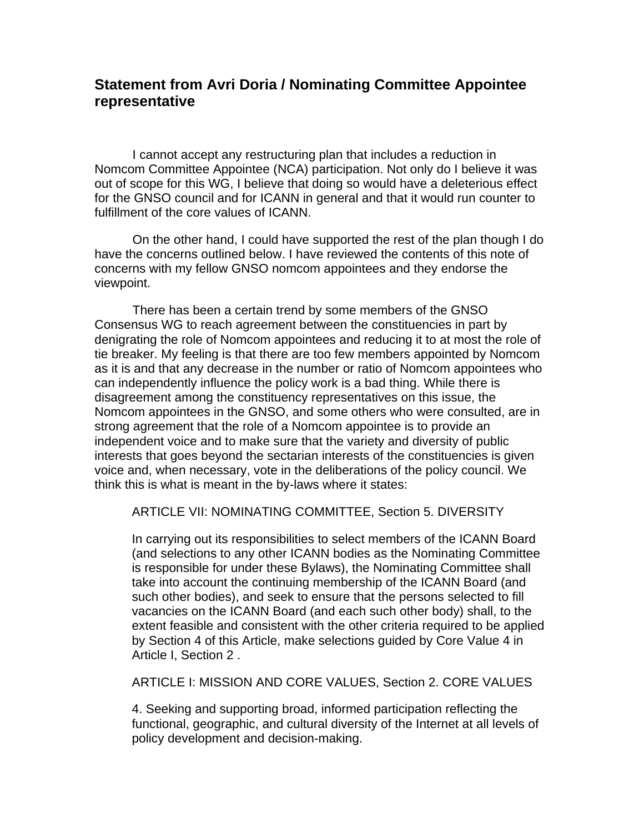## **Statement from Avri Doria / Nominating Committee Appointee representative**

I cannot accept any restructuring plan that includes a reduction in Nomcom Committee Appointee (NCA) participation. Not only do I believe it was out of scope for this WG, I believe that doing so would have a deleterious effect for the GNSO council and for ICANN in general and that it would run counter to fulfillment of the core values of ICANN.

On the other hand, I could have supported the rest of the plan though I do have the concerns outlined below. I have reviewed the contents of this note of concerns with my fellow GNSO nomcom appointees and they endorse the viewpoint.

There has been a certain trend by some members of the GNSO Consensus WG to reach agreement between the constituencies in part by denigrating the role of Nomcom appointees and reducing it to at most the role of tie breaker. My feeling is that there are too few members appointed by Nomcom as it is and that any decrease in the number or ratio of Nomcom appointees who can independently influence the policy work is a bad thing. While there is disagreement among the constituency representatives on this issue, the Nomcom appointees in the GNSO, and some others who were consulted, are in strong agreement that the role of a Nomcom appointee is to provide an independent voice and to make sure that the variety and diversity of public interests that goes beyond the sectarian interests of the constituencies is given voice and, when necessary, vote in the deliberations of the policy council. We think this is what is meant in the by-laws where it states:

ARTICLE VII: NOMINATING COMMITTEE, Section 5. DIVERSITY

In carrying out its responsibilities to select members of the ICANN Board (and selections to any other ICANN bodies as the Nominating Committee is responsible for under these Bylaws), the Nominating Committee shall take into account the continuing membership of the ICANN Board (and such other bodies), and seek to ensure that the persons selected to fill vacancies on the ICANN Board (and each such other body) shall, to the extent feasible and consistent with the other criteria required to be applied by Section 4 of this Article, make selections guided by Core Value 4 in Article I, Section 2 .

ARTICLE I: MISSION AND CORE VALUES, Section 2. CORE VALUES

4. Seeking and supporting broad, informed participation reflecting the functional, geographic, and cultural diversity of the Internet at all levels of policy development and decision-making.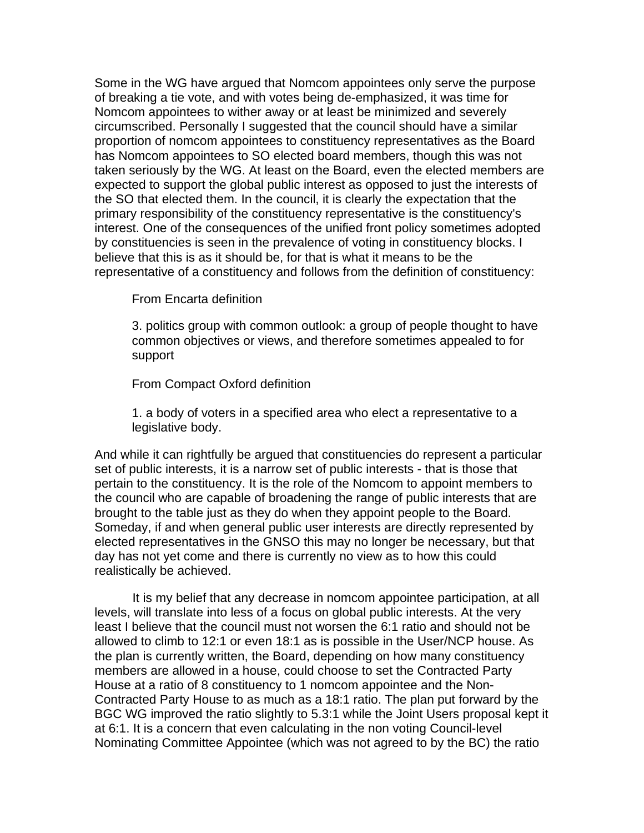Some in the WG have argued that Nomcom appointees only serve the purpose of breaking a tie vote, and with votes being de-emphasized, it was time for Nomcom appointees to wither away or at least be minimized and severely circumscribed. Personally I suggested that the council should have a similar proportion of nomcom appointees to constituency representatives as the Board has Nomcom appointees to SO elected board members, though this was not taken seriously by the WG. At least on the Board, even the elected members are expected to support the global public interest as opposed to just the interests of the SO that elected them. In the council, it is clearly the expectation that the primary responsibility of the constituency representative is the constituency's interest. One of the consequences of the unified front policy sometimes adopted by constituencies is seen in the prevalence of voting in constituency blocks. I believe that this is as it should be, for that is what it means to be the representative of a constituency and follows from the definition of constituency:

From Encarta definition

3. politics group with common outlook: a group of people thought to have common objectives or views, and therefore sometimes appealed to for support

From Compact Oxford definition

1. a body of voters in a specified area who elect a representative to a legislative body.

And while it can rightfully be argued that constituencies do represent a particular set of public interests, it is a narrow set of public interests - that is those that pertain to the constituency. It is the role of the Nomcom to appoint members to the council who are capable of broadening the range of public interests that are brought to the table just as they do when they appoint people to the Board. Someday, if and when general public user interests are directly represented by elected representatives in the GNSO this may no longer be necessary, but that day has not yet come and there is currently no view as to how this could realistically be achieved.

It is my belief that any decrease in nomcom appointee participation, at all levels, will translate into less of a focus on global public interests. At the very least I believe that the council must not worsen the 6:1 ratio and should not be allowed to climb to 12:1 or even 18:1 as is possible in the User/NCP house. As the plan is currently written, the Board, depending on how many constituency members are allowed in a house, could choose to set the Contracted Party House at a ratio of 8 constituency to 1 nomcom appointee and the Non-Contracted Party House to as much as a 18:1 ratio. The plan put forward by the BGC WG improved the ratio slightly to 5.3:1 while the Joint Users proposal kept it at 6:1. It is a concern that even calculating in the non voting Council-level Nominating Committee Appointee (which was not agreed to by the BC) the ratio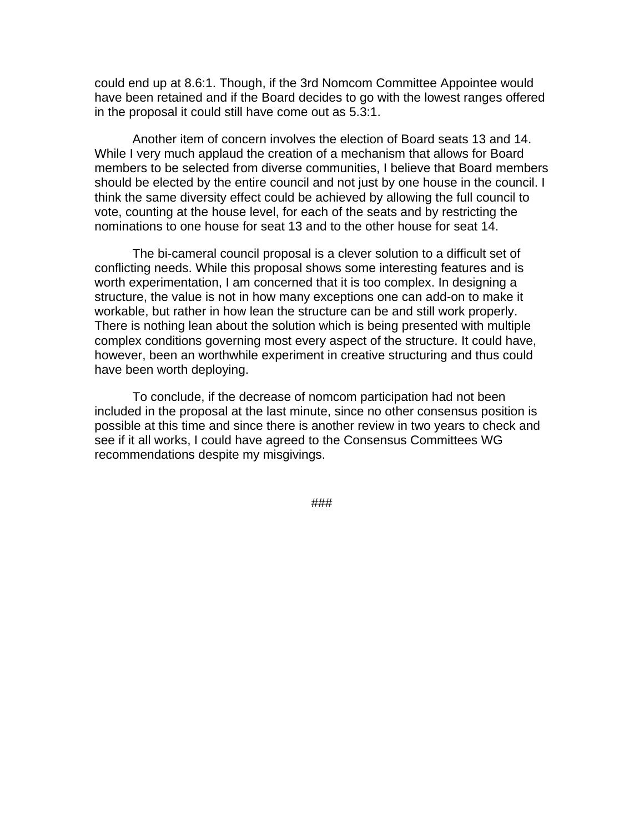could end up at 8.6:1. Though, if the 3rd Nomcom Committee Appointee would have been retained and if the Board decides to go with the lowest ranges offered in the proposal it could still have come out as 5.3:1.

Another item of concern involves the election of Board seats 13 and 14. While I very much applaud the creation of a mechanism that allows for Board members to be selected from diverse communities, I believe that Board members should be elected by the entire council and not just by one house in the council. I think the same diversity effect could be achieved by allowing the full council to vote, counting at the house level, for each of the seats and by restricting the nominations to one house for seat 13 and to the other house for seat 14.

The bi-cameral council proposal is a clever solution to a difficult set of conflicting needs. While this proposal shows some interesting features and is worth experimentation, I am concerned that it is too complex. In designing a structure, the value is not in how many exceptions one can add-on to make it workable, but rather in how lean the structure can be and still work properly. There is nothing lean about the solution which is being presented with multiple complex conditions governing most every aspect of the structure. It could have, however, been an worthwhile experiment in creative structuring and thus could have been worth deploying.

To conclude, if the decrease of nomcom participation had not been included in the proposal at the last minute, since no other consensus position is possible at this time and since there is another review in two years to check and see if it all works, I could have agreed to the Consensus Committees WG recommendations despite my misgivings.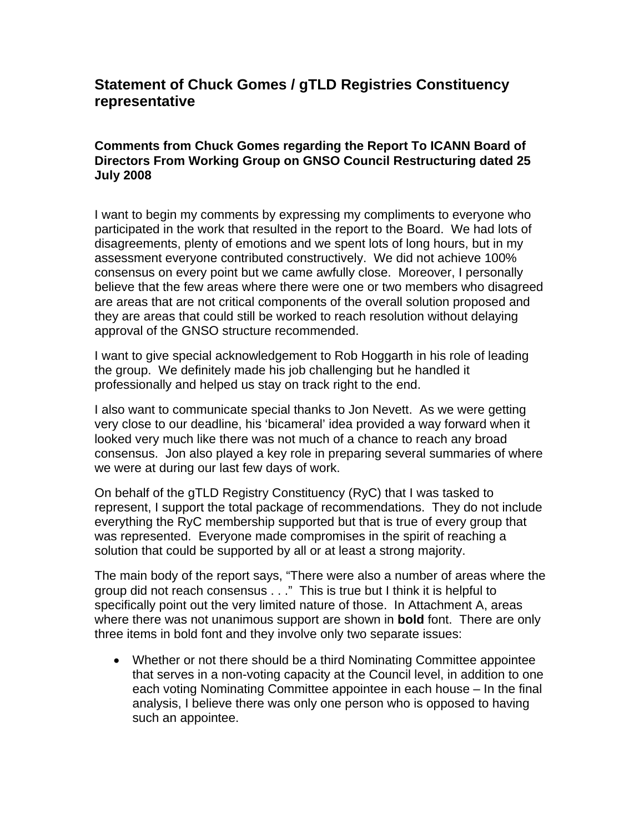# **Statement of Chuck Gomes / gTLD Registries Constituency representative**

#### **Comments from Chuck Gomes regarding the Report To ICANN Board of Directors From Working Group on GNSO Council Restructuring dated 25 July 2008**

I want to begin my comments by expressing my compliments to everyone who participated in the work that resulted in the report to the Board. We had lots of disagreements, plenty of emotions and we spent lots of long hours, but in my assessment everyone contributed constructively. We did not achieve 100% consensus on every point but we came awfully close. Moreover, I personally believe that the few areas where there were one or two members who disagreed are areas that are not critical components of the overall solution proposed and they are areas that could still be worked to reach resolution without delaying approval of the GNSO structure recommended.

I want to give special acknowledgement to Rob Hoggarth in his role of leading the group. We definitely made his job challenging but he handled it professionally and helped us stay on track right to the end.

I also want to communicate special thanks to Jon Nevett. As we were getting very close to our deadline, his 'bicameral' idea provided a way forward when it looked very much like there was not much of a chance to reach any broad consensus. Jon also played a key role in preparing several summaries of where we were at during our last few days of work.

On behalf of the gTLD Registry Constituency (RyC) that I was tasked to represent, I support the total package of recommendations. They do not include everything the RyC membership supported but that is true of every group that was represented. Everyone made compromises in the spirit of reaching a solution that could be supported by all or at least a strong majority.

The main body of the report says, "There were also a number of areas where the group did not reach consensus . . ." This is true but I think it is helpful to specifically point out the very limited nature of those. In Attachment A, areas where there was not unanimous support are shown in **bold** font. There are only three items in bold font and they involve only two separate issues:

• Whether or not there should be a third Nominating Committee appointee that serves in a non-voting capacity at the Council level, in addition to one each voting Nominating Committee appointee in each house – In the final analysis, I believe there was only one person who is opposed to having such an appointee.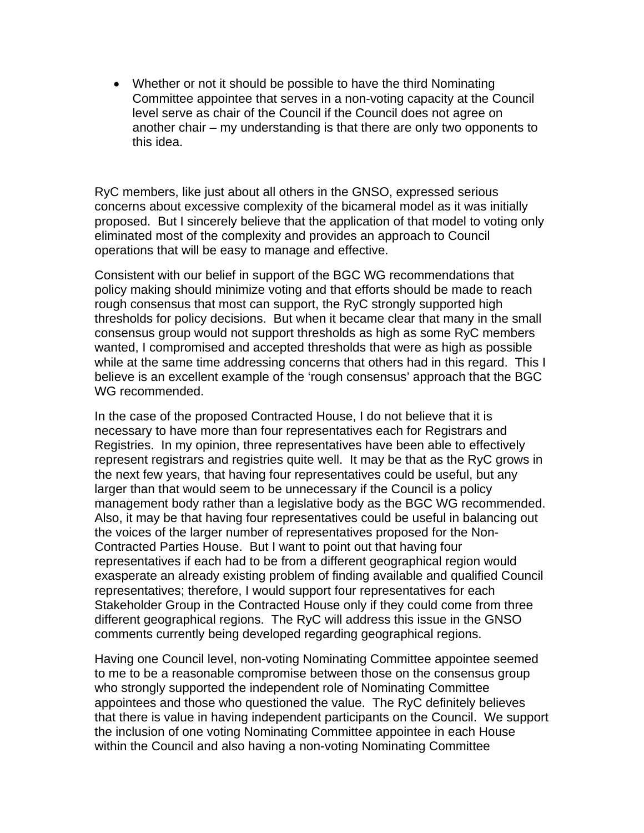• Whether or not it should be possible to have the third Nominating Committee appointee that serves in a non-voting capacity at the Council level serve as chair of the Council if the Council does not agree on another chair – my understanding is that there are only two opponents to this idea.

RyC members, like just about all others in the GNSO, expressed serious concerns about excessive complexity of the bicameral model as it was initially proposed. But I sincerely believe that the application of that model to voting only eliminated most of the complexity and provides an approach to Council operations that will be easy to manage and effective.

Consistent with our belief in support of the BGC WG recommendations that policy making should minimize voting and that efforts should be made to reach rough consensus that most can support, the RyC strongly supported high thresholds for policy decisions. But when it became clear that many in the small consensus group would not support thresholds as high as some RyC members wanted, I compromised and accepted thresholds that were as high as possible while at the same time addressing concerns that others had in this regard. This I believe is an excellent example of the 'rough consensus' approach that the BGC WG recommended.

In the case of the proposed Contracted House, I do not believe that it is necessary to have more than four representatives each for Registrars and Registries. In my opinion, three representatives have been able to effectively represent registrars and registries quite well. It may be that as the RyC grows in the next few years, that having four representatives could be useful, but any larger than that would seem to be unnecessary if the Council is a policy management body rather than a legislative body as the BGC WG recommended. Also, it may be that having four representatives could be useful in balancing out the voices of the larger number of representatives proposed for the Non-Contracted Parties House. But I want to point out that having four representatives if each had to be from a different geographical region would exasperate an already existing problem of finding available and qualified Council representatives; therefore, I would support four representatives for each Stakeholder Group in the Contracted House only if they could come from three different geographical regions. The RyC will address this issue in the GNSO comments currently being developed regarding geographical regions.

Having one Council level, non-voting Nominating Committee appointee seemed to me to be a reasonable compromise between those on the consensus group who strongly supported the independent role of Nominating Committee appointees and those who questioned the value. The RyC definitely believes that there is value in having independent participants on the Council. We support the inclusion of one voting Nominating Committee appointee in each House within the Council and also having a non-voting Nominating Committee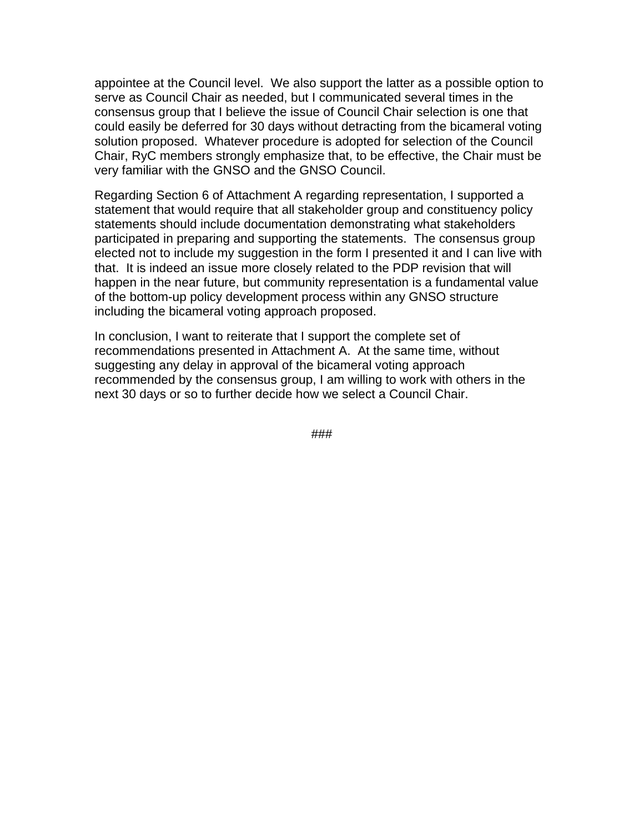appointee at the Council level. We also support the latter as a possible option to serve as Council Chair as needed, but I communicated several times in the consensus group that I believe the issue of Council Chair selection is one that could easily be deferred for 30 days without detracting from the bicameral voting solution proposed. Whatever procedure is adopted for selection of the Council Chair, RyC members strongly emphasize that, to be effective, the Chair must be very familiar with the GNSO and the GNSO Council.

Regarding Section 6 of Attachment A regarding representation, I supported a statement that would require that all stakeholder group and constituency policy statements should include documentation demonstrating what stakeholders participated in preparing and supporting the statements. The consensus group elected not to include my suggestion in the form I presented it and I can live with that. It is indeed an issue more closely related to the PDP revision that will happen in the near future, but community representation is a fundamental value of the bottom-up policy development process within any GNSO structure including the bicameral voting approach proposed.

In conclusion, I want to reiterate that I support the complete set of recommendations presented in Attachment A. At the same time, without suggesting any delay in approval of the bicameral voting approach recommended by the consensus group, I am willing to work with others in the next 30 days or so to further decide how we select a Council Chair.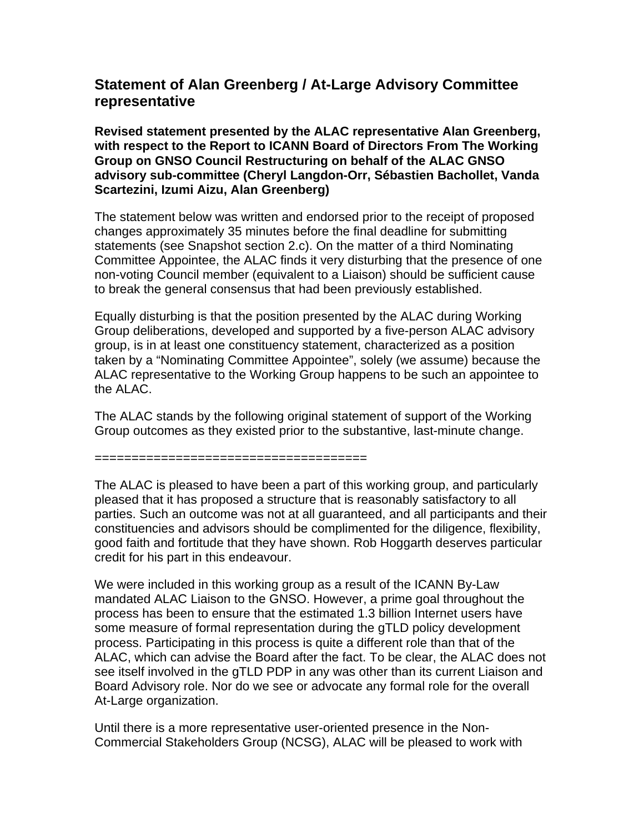## **Statement of Alan Greenberg / At-Large Advisory Committee representative**

**Revised statement presented by the ALAC representative Alan Greenberg, with respect to the Report to ICANN Board of Directors From The Working Group on GNSO Council Restructuring on behalf of the ALAC GNSO advisory sub-committee (Cheryl Langdon-Orr, Sébastien Bachollet, Vanda Scartezini, Izumi Aizu, Alan Greenberg)** 

The statement below was written and endorsed prior to the receipt of proposed changes approximately 35 minutes before the final deadline for submitting statements (see Snapshot section 2.c). On the matter of a third Nominating Committee Appointee, the ALAC finds it very disturbing that the presence of one non-voting Council member (equivalent to a Liaison) should be sufficient cause to break the general consensus that had been previously established.

Equally disturbing is that the position presented by the ALAC during Working Group deliberations, developed and supported by a five-person ALAC advisory group, is in at least one constituency statement, characterized as a position taken by a "Nominating Committee Appointee", solely (we assume) because the ALAC representative to the Working Group happens to be such an appointee to the ALAC.

The ALAC stands by the following original statement of support of the Working Group outcomes as they existed prior to the substantive, last-minute change.

=====================================

The ALAC is pleased to have been a part of this working group, and particularly pleased that it has proposed a structure that is reasonably satisfactory to all parties. Such an outcome was not at all guaranteed, and all participants and their constituencies and advisors should be complimented for the diligence, flexibility, good faith and fortitude that they have shown. Rob Hoggarth deserves particular credit for his part in this endeavour.

We were included in this working group as a result of the ICANN By-Law mandated ALAC Liaison to the GNSO. However, a prime goal throughout the process has been to ensure that the estimated 1.3 billion Internet users have some measure of formal representation during the gTLD policy development process. Participating in this process is quite a different role than that of the ALAC, which can advise the Board after the fact. To be clear, the ALAC does not see itself involved in the gTLD PDP in any was other than its current Liaison and Board Advisory role. Nor do we see or advocate any formal role for the overall At-Large organization.

Until there is a more representative user-oriented presence in the Non-Commercial Stakeholders Group (NCSG), ALAC will be pleased to work with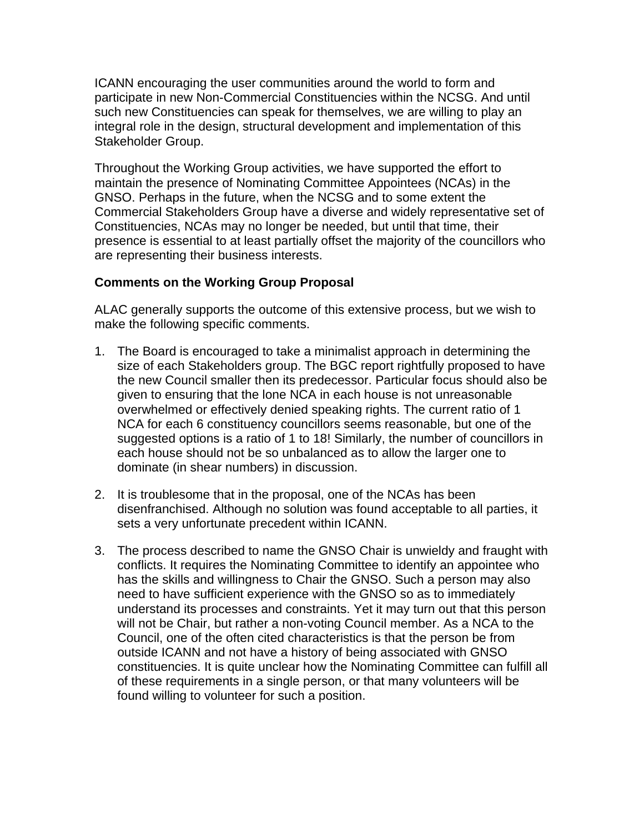ICANN encouraging the user communities around the world to form and participate in new Non-Commercial Constituencies within the NCSG. And until such new Constituencies can speak for themselves, we are willing to play an integral role in the design, structural development and implementation of this Stakeholder Group.

Throughout the Working Group activities, we have supported the effort to maintain the presence of Nominating Committee Appointees (NCAs) in the GNSO. Perhaps in the future, when the NCSG and to some extent the Commercial Stakeholders Group have a diverse and widely representative set of Constituencies, NCAs may no longer be needed, but until that time, their presence is essential to at least partially offset the majority of the councillors who are representing their business interests.

#### **Comments on the Working Group Proposal**

ALAC generally supports the outcome of this extensive process, but we wish to make the following specific comments.

- 1. The Board is encouraged to take a minimalist approach in determining the size of each Stakeholders group. The BGC report rightfully proposed to have the new Council smaller then its predecessor. Particular focus should also be given to ensuring that the lone NCA in each house is not unreasonable overwhelmed or effectively denied speaking rights. The current ratio of 1 NCA for each 6 constituency councillors seems reasonable, but one of the suggested options is a ratio of 1 to 18! Similarly, the number of councillors in each house should not be so unbalanced as to allow the larger one to dominate (in shear numbers) in discussion.
- 2. It is troublesome that in the proposal, one of the NCAs has been disenfranchised. Although no solution was found acceptable to all parties, it sets a very unfortunate precedent within ICANN.
- 3. The process described to name the GNSO Chair is unwieldy and fraught with conflicts. It requires the Nominating Committee to identify an appointee who has the skills and willingness to Chair the GNSO. Such a person may also need to have sufficient experience with the GNSO so as to immediately understand its processes and constraints. Yet it may turn out that this person will not be Chair, but rather a non-voting Council member. As a NCA to the Council, one of the often cited characteristics is that the person be from outside ICANN and not have a history of being associated with GNSO constituencies. It is quite unclear how the Nominating Committee can fulfill all of these requirements in a single person, or that many volunteers will be found willing to volunteer for such a position.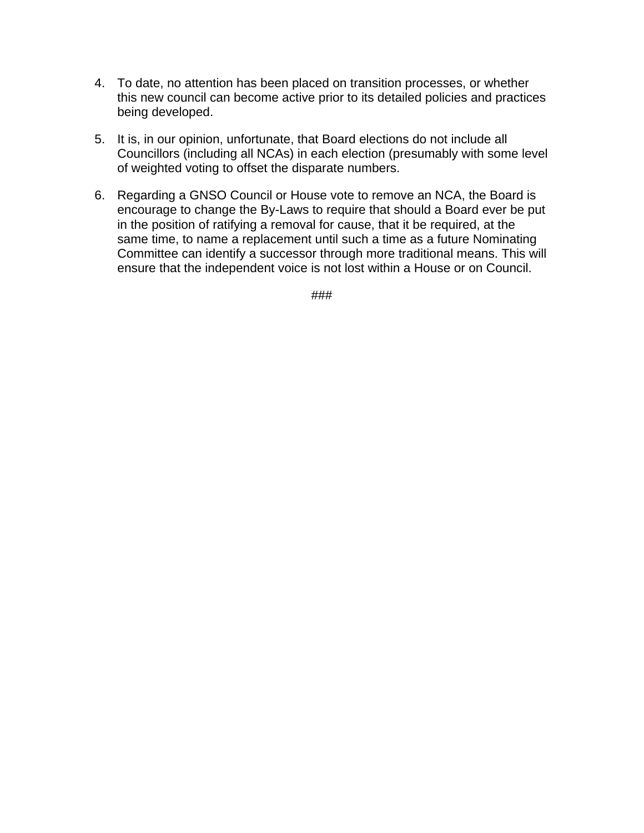- 4. To date, no attention has been placed on transition processes, or whether this new council can become active prior to its detailed policies and practices being developed.
- 5. It is, in our opinion, unfortunate, that Board elections do not include all Councillors (including all NCAs) in each election (presumably with some level of weighted voting to offset the disparate numbers.
- 6. Regarding a GNSO Council or House vote to remove an NCA, the Board is encourage to change the By-Laws to require that should a Board ever be put in the position of ratifying a removal for cause, that it be required, at the same time, to name a replacement until such a time as a future Nominating Committee can identify a successor through more traditional means. This will ensure that the independent voice is not lost within a House or on Council.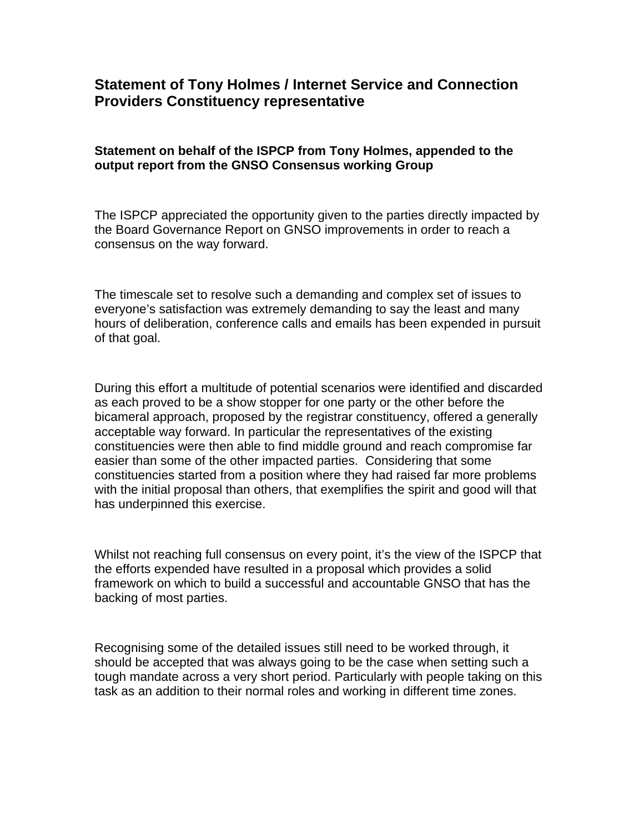## **Statement of Tony Holmes / Internet Service and Connection Providers Constituency representative**

#### **Statement on behalf of the ISPCP from Tony Holmes, appended to the output report from the GNSO Consensus working Group**

The ISPCP appreciated the opportunity given to the parties directly impacted by the Board Governance Report on GNSO improvements in order to reach a consensus on the way forward.

The timescale set to resolve such a demanding and complex set of issues to everyone's satisfaction was extremely demanding to say the least and many hours of deliberation, conference calls and emails has been expended in pursuit of that goal.

During this effort a multitude of potential scenarios were identified and discarded as each proved to be a show stopper for one party or the other before the bicameral approach, proposed by the registrar constituency, offered a generally acceptable way forward. In particular the representatives of the existing constituencies were then able to find middle ground and reach compromise far easier than some of the other impacted parties. Considering that some constituencies started from a position where they had raised far more problems with the initial proposal than others, that exemplifies the spirit and good will that has underpinned this exercise.

Whilst not reaching full consensus on every point, it's the view of the ISPCP that the efforts expended have resulted in a proposal which provides a solid framework on which to build a successful and accountable GNSO that has the backing of most parties.

Recognising some of the detailed issues still need to be worked through, it should be accepted that was always going to be the case when setting such a tough mandate across a very short period. Particularly with people taking on this task as an addition to their normal roles and working in different time zones.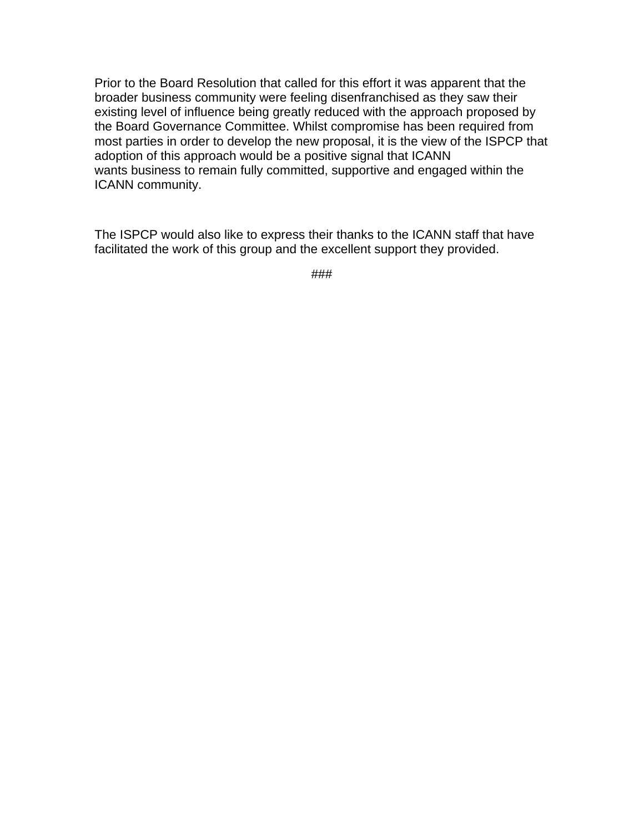Prior to the Board Resolution that called for this effort it was apparent that the broader business community were feeling disenfranchised as they saw their existing level of influence being greatly reduced with the approach proposed by the Board Governance Committee. Whilst compromise has been required from most parties in order to develop the new proposal, it is the view of the ISPCP that adoption of this approach would be a positive signal that ICANN wants business to remain fully committed, supportive and engaged within the ICANN community.

The ISPCP would also like to express their thanks to the ICANN staff that have facilitated the work of this group and the excellent support they provided.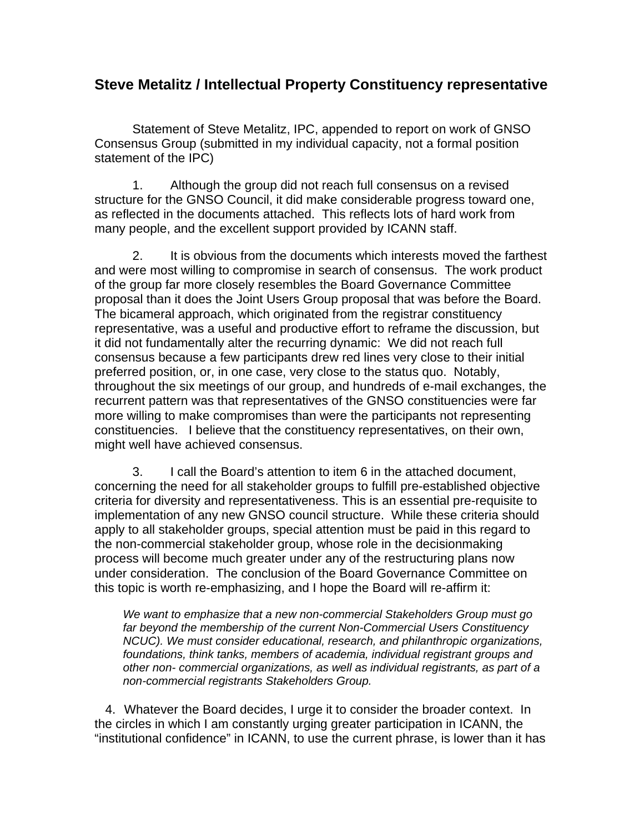### **Steve Metalitz / Intellectual Property Constituency representative**

Statement of Steve Metalitz, IPC, appended to report on work of GNSO Consensus Group (submitted in my individual capacity, not a formal position statement of the IPC)

1. Although the group did not reach full consensus on a revised structure for the GNSO Council, it did make considerable progress toward one, as reflected in the documents attached. This reflects lots of hard work from many people, and the excellent support provided by ICANN staff.

2. It is obvious from the documents which interests moved the farthest and were most willing to compromise in search of consensus. The work product of the group far more closely resembles the Board Governance Committee proposal than it does the Joint Users Group proposal that was before the Board. The bicameral approach, which originated from the registrar constituency representative, was a useful and productive effort to reframe the discussion, but it did not fundamentally alter the recurring dynamic: We did not reach full consensus because a few participants drew red lines very close to their initial preferred position, or, in one case, very close to the status quo. Notably, throughout the six meetings of our group, and hundreds of e-mail exchanges, the recurrent pattern was that representatives of the GNSO constituencies were far more willing to make compromises than were the participants not representing constituencies. I believe that the constituency representatives, on their own, might well have achieved consensus.

3. I call the Board's attention to item 6 in the attached document, concerning the need for all stakeholder groups to fulfill pre-established objective criteria for diversity and representativeness. This is an essential pre-requisite to implementation of any new GNSO council structure. While these criteria should apply to all stakeholder groups, special attention must be paid in this regard to the non-commercial stakeholder group, whose role in the decisionmaking process will become much greater under any of the restructuring plans now under consideration. The conclusion of the Board Governance Committee on this topic is worth re-emphasizing, and I hope the Board will re-affirm it:

*We want to emphasize that a new non-commercial Stakeholders Group must go far beyond the membership of the current Non-Commercial Users Constituency NCUC). We must consider educational, research, and philanthropic organizations, foundations, think tanks, members of academia, individual registrant groups and other non- commercial organizations, as well as individual registrants, as part of a non-commercial registrants Stakeholders Group.* 

 4. Whatever the Board decides, I urge it to consider the broader context. In the circles in which I am constantly urging greater participation in ICANN, the "institutional confidence" in ICANN, to use the current phrase, is lower than it has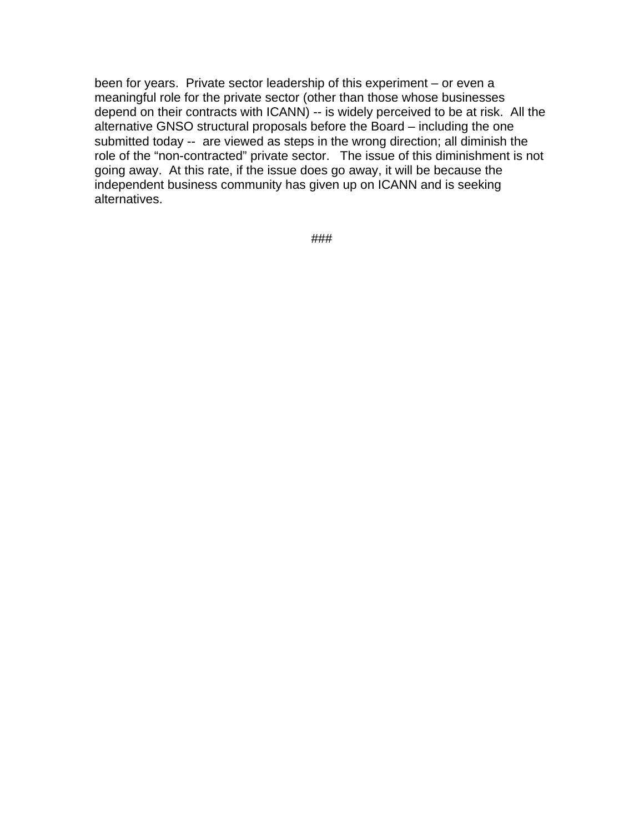been for years. Private sector leadership of this experiment – or even a meaningful role for the private sector (other than those whose businesses depend on their contracts with ICANN) -- is widely perceived to be at risk. All the alternative GNSO structural proposals before the Board – including the one submitted today -- are viewed as steps in the wrong direction; all diminish the role of the "non-contracted" private sector. The issue of this diminishment is not going away. At this rate, if the issue does go away, it will be because the independent business community has given up on ICANN and is seeking alternatives.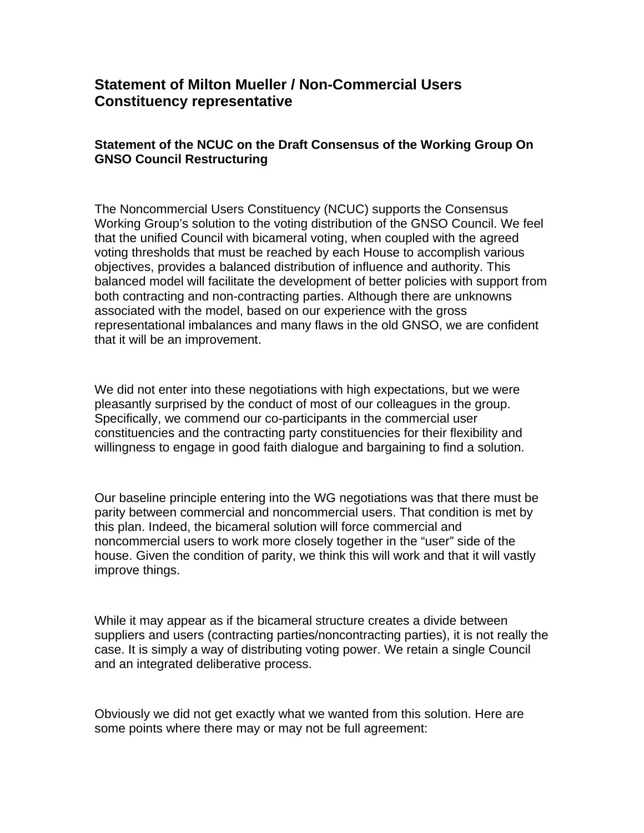## **Statement of Milton Mueller / Non-Commercial Users Constituency representative**

### **Statement of the NCUC on the Draft Consensus of the Working Group On GNSO Council Restructuring**

The Noncommercial Users Constituency (NCUC) supports the Consensus Working Group's solution to the voting distribution of the GNSO Council. We feel that the unified Council with bicameral voting, when coupled with the agreed voting thresholds that must be reached by each House to accomplish various objectives, provides a balanced distribution of influence and authority. This balanced model will facilitate the development of better policies with support from both contracting and non-contracting parties. Although there are unknowns associated with the model, based on our experience with the gross representational imbalances and many flaws in the old GNSO, we are confident that it will be an improvement.

We did not enter into these negotiations with high expectations, but we were pleasantly surprised by the conduct of most of our colleagues in the group. Specifically, we commend our co-participants in the commercial user constituencies and the contracting party constituencies for their flexibility and willingness to engage in good faith dialogue and bargaining to find a solution.

Our baseline principle entering into the WG negotiations was that there must be parity between commercial and noncommercial users. That condition is met by this plan. Indeed, the bicameral solution will force commercial and noncommercial users to work more closely together in the "user" side of the house. Given the condition of parity, we think this will work and that it will vastly improve things.

While it may appear as if the bicameral structure creates a divide between suppliers and users (contracting parties/noncontracting parties), it is not really the case. It is simply a way of distributing voting power. We retain a single Council and an integrated deliberative process.

Obviously we did not get exactly what we wanted from this solution. Here are some points where there may or may not be full agreement: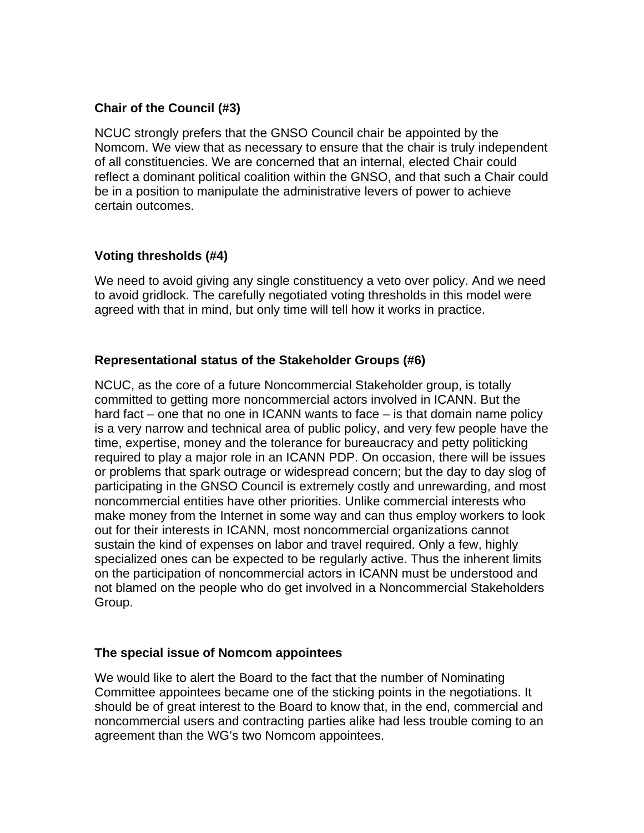### **Chair of the Council (#3)**

NCUC strongly prefers that the GNSO Council chair be appointed by the Nomcom. We view that as necessary to ensure that the chair is truly independent of all constituencies. We are concerned that an internal, elected Chair could reflect a dominant political coalition within the GNSO, and that such a Chair could be in a position to manipulate the administrative levers of power to achieve certain outcomes.

### **Voting thresholds (#4)**

We need to avoid giving any single constituency a veto over policy. And we need to avoid gridlock. The carefully negotiated voting thresholds in this model were agreed with that in mind, but only time will tell how it works in practice.

### **Representational status of the Stakeholder Groups (#6)**

NCUC, as the core of a future Noncommercial Stakeholder group, is totally committed to getting more noncommercial actors involved in ICANN. But the hard fact – one that no one in ICANN wants to face – is that domain name policy is a very narrow and technical area of public policy, and very few people have the time, expertise, money and the tolerance for bureaucracy and petty politicking required to play a major role in an ICANN PDP. On occasion, there will be issues or problems that spark outrage or widespread concern; but the day to day slog of participating in the GNSO Council is extremely costly and unrewarding, and most noncommercial entities have other priorities. Unlike commercial interests who make money from the Internet in some way and can thus employ workers to look out for their interests in ICANN, most noncommercial organizations cannot sustain the kind of expenses on labor and travel required. Only a few, highly specialized ones can be expected to be regularly active. Thus the inherent limits on the participation of noncommercial actors in ICANN must be understood and not blamed on the people who do get involved in a Noncommercial Stakeholders Group.

#### **The special issue of Nomcom appointees**

We would like to alert the Board to the fact that the number of Nominating Committee appointees became one of the sticking points in the negotiations. It should be of great interest to the Board to know that, in the end, commercial and noncommercial users and contracting parties alike had less trouble coming to an agreement than the WG's two Nomcom appointees.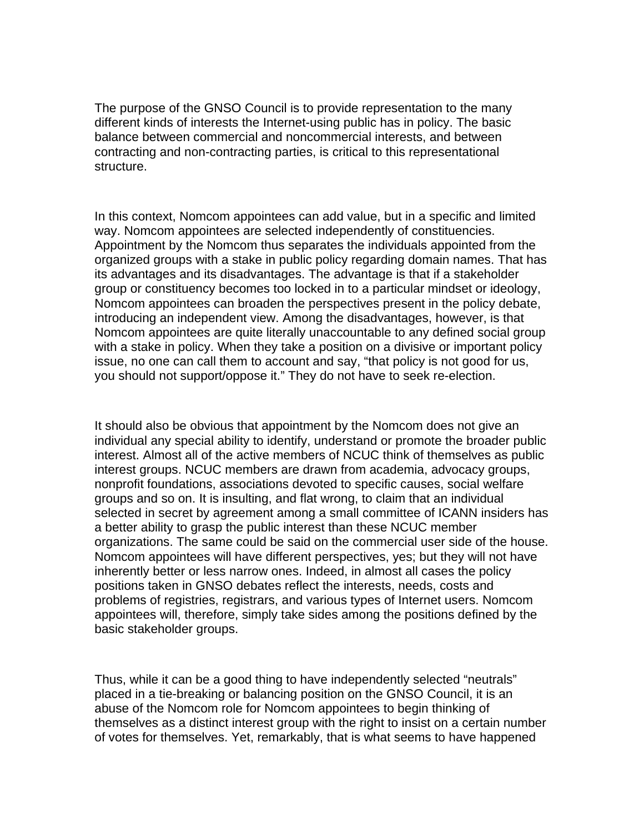The purpose of the GNSO Council is to provide representation to the many different kinds of interests the Internet-using public has in policy. The basic balance between commercial and noncommercial interests, and between contracting and non-contracting parties, is critical to this representational structure.

In this context, Nomcom appointees can add value, but in a specific and limited way. Nomcom appointees are selected independently of constituencies. Appointment by the Nomcom thus separates the individuals appointed from the organized groups with a stake in public policy regarding domain names. That has its advantages and its disadvantages. The advantage is that if a stakeholder group or constituency becomes too locked in to a particular mindset or ideology, Nomcom appointees can broaden the perspectives present in the policy debate, introducing an independent view. Among the disadvantages, however, is that Nomcom appointees are quite literally unaccountable to any defined social group with a stake in policy. When they take a position on a divisive or important policy issue, no one can call them to account and say, "that policy is not good for us, you should not support/oppose it." They do not have to seek re-election.

It should also be obvious that appointment by the Nomcom does not give an individual any special ability to identify, understand or promote the broader public interest. Almost all of the active members of NCUC think of themselves as public interest groups. NCUC members are drawn from academia, advocacy groups, nonprofit foundations, associations devoted to specific causes, social welfare groups and so on. It is insulting, and flat wrong, to claim that an individual selected in secret by agreement among a small committee of ICANN insiders has a better ability to grasp the public interest than these NCUC member organizations. The same could be said on the commercial user side of the house. Nomcom appointees will have different perspectives, yes; but they will not have inherently better or less narrow ones. Indeed, in almost all cases the policy positions taken in GNSO debates reflect the interests, needs, costs and problems of registries, registrars, and various types of Internet users. Nomcom appointees will, therefore, simply take sides among the positions defined by the basic stakeholder groups.

Thus, while it can be a good thing to have independently selected "neutrals" placed in a tie-breaking or balancing position on the GNSO Council, it is an abuse of the Nomcom role for Nomcom appointees to begin thinking of themselves as a distinct interest group with the right to insist on a certain number of votes for themselves. Yet, remarkably, that is what seems to have happened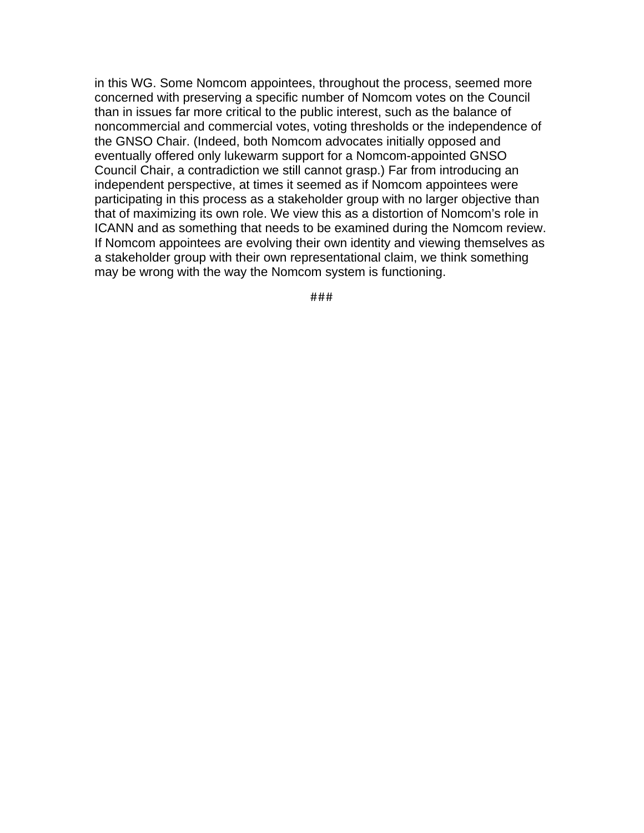in this WG. Some Nomcom appointees, throughout the process, seemed more concerned with preserving a specific number of Nomcom votes on the Council than in issues far more critical to the public interest, such as the balance of noncommercial and commercial votes, voting thresholds or the independence of the GNSO Chair. (Indeed, both Nomcom advocates initially opposed and eventually offered only lukewarm support for a Nomcom-appointed GNSO Council Chair, a contradiction we still cannot grasp.) Far from introducing an independent perspective, at times it seemed as if Nomcom appointees were participating in this process as a stakeholder group with no larger objective than that of maximizing its own role. We view this as a distortion of Nomcom's role in ICANN and as something that needs to be examined during the Nomcom review. If Nomcom appointees are evolving their own identity and viewing themselves as a stakeholder group with their own representational claim, we think something may be wrong with the way the Nomcom system is functioning.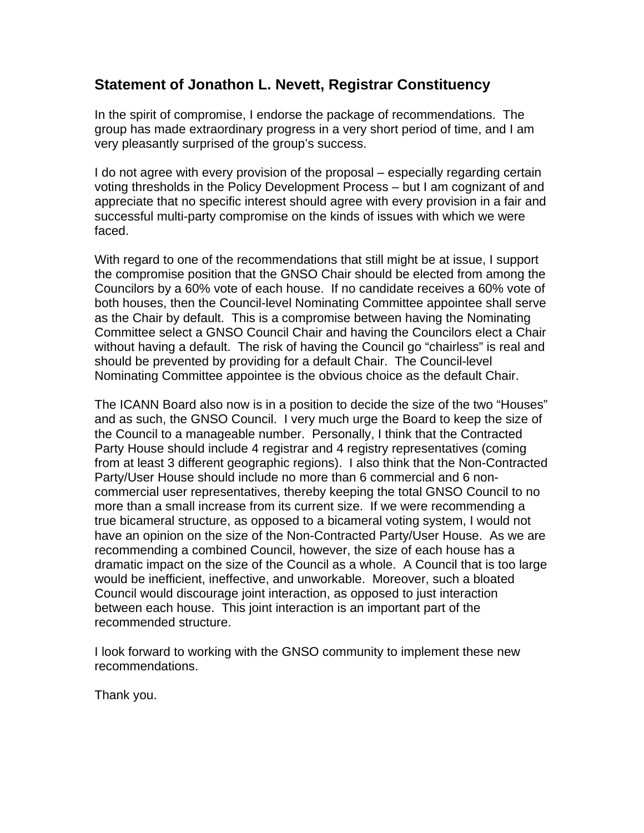## **Statement of Jonathon L. Nevett, Registrar Constituency**

In the spirit of compromise, I endorse the package of recommendations. The group has made extraordinary progress in a very short period of time, and I am very pleasantly surprised of the group's success.

I do not agree with every provision of the proposal – especially regarding certain voting thresholds in the Policy Development Process – but I am cognizant of and appreciate that no specific interest should agree with every provision in a fair and successful multi-party compromise on the kinds of issues with which we were faced.

With regard to one of the recommendations that still might be at issue, I support the compromise position that the GNSO Chair should be elected from among the Councilors by a 60% vote of each house. If no candidate receives a 60% vote of both houses, then the Council-level Nominating Committee appointee shall serve as the Chair by default. This is a compromise between having the Nominating Committee select a GNSO Council Chair and having the Councilors elect a Chair without having a default. The risk of having the Council go "chairless" is real and should be prevented by providing for a default Chair. The Council-level Nominating Committee appointee is the obvious choice as the default Chair.

The ICANN Board also now is in a position to decide the size of the two "Houses" and as such, the GNSO Council. I very much urge the Board to keep the size of the Council to a manageable number. Personally, I think that the Contracted Party House should include 4 registrar and 4 registry representatives (coming from at least 3 different geographic regions). I also think that the Non-Contracted Party/User House should include no more than 6 commercial and 6 noncommercial user representatives, thereby keeping the total GNSO Council to no more than a small increase from its current size. If we were recommending a true bicameral structure, as opposed to a bicameral voting system, I would not have an opinion on the size of the Non-Contracted Party/User House. As we are recommending a combined Council, however, the size of each house has a dramatic impact on the size of the Council as a whole. A Council that is too large would be inefficient, ineffective, and unworkable. Moreover, such a bloated Council would discourage joint interaction, as opposed to just interaction between each house. This joint interaction is an important part of the recommended structure.

I look forward to working with the GNSO community to implement these new recommendations.

Thank you.